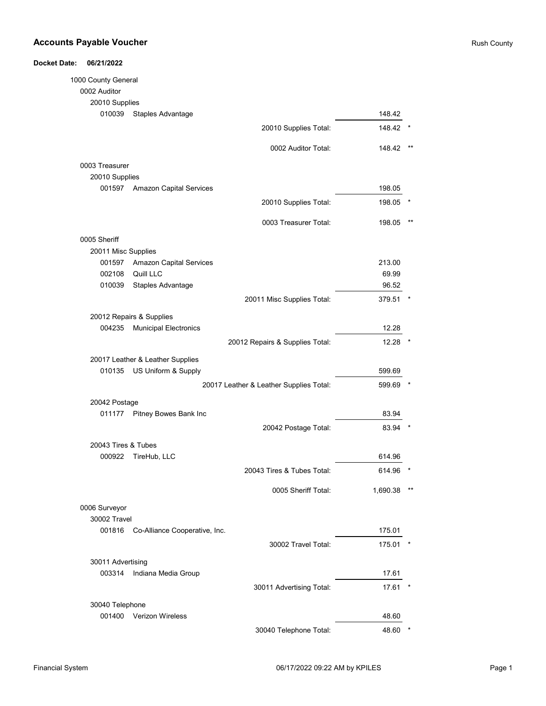| 1000 County General |                                         |          |       |
|---------------------|-----------------------------------------|----------|-------|
| 0002 Auditor        |                                         |          |       |
| 20010 Supplies      |                                         |          |       |
| 010039              | Staples Advantage                       | 148.42   |       |
|                     | 20010 Supplies Total:                   | 148.42   |       |
|                     | 0002 Auditor Total:                     | 148.42   | $***$ |
| 0003 Treasurer      |                                         |          |       |
| 20010 Supplies      |                                         |          |       |
|                     | 001597 Amazon Capital Services          | 198.05   |       |
|                     | 20010 Supplies Total:                   | 198.05   |       |
|                     | 0003 Treasurer Total:                   | 198.05   | $***$ |
| 0005 Sheriff        |                                         |          |       |
| 20011 Misc Supplies |                                         |          |       |
|                     | 001597 Amazon Capital Services          | 213.00   |       |
|                     | 002108 Quill LLC                        | 69.99    |       |
| 010039              | Staples Advantage                       | 96.52    |       |
|                     | 20011 Misc Supplies Total:              | 379.51   |       |
|                     | 20012 Repairs & Supplies                |          |       |
| 004235              | <b>Municipal Electronics</b>            | 12.28    |       |
|                     | 20012 Repairs & Supplies Total:         | 12.28    |       |
|                     | 20017 Leather & Leather Supplies        |          |       |
| 010135              | US Uniform & Supply                     | 599.69   |       |
|                     | 20017 Leather & Leather Supplies Total: | 599.69   |       |
| 20042 Postage       |                                         |          |       |
| 011177              | Pitney Bowes Bank Inc                   | 83.94    |       |
|                     | 20042 Postage Total:                    | 83.94    |       |
| 20043 Tires & Tubes |                                         |          |       |
| 000922              | TireHub, LLC                            | 614.96   |       |
|                     | 20043 Tires & Tubes Total:              | 614.96   |       |
|                     | 0005 Sheriff Total:                     | 1,690.38 |       |
| 0006 Surveyor       |                                         |          |       |
| 30002 Travel        |                                         |          |       |
| 001816              | Co-Alliance Cooperative, Inc.           | 175.01   |       |
|                     | 30002 Travel Total:                     | 175.01   |       |
| 30011 Advertising   |                                         |          |       |
| 003314              | Indiana Media Group                     | 17.61    |       |
|                     | 30011 Advertising Total:                | 17.61    |       |
| 30040 Telephone     |                                         |          |       |
|                     | 001400 Verizon Wireless                 | 48.60    |       |
|                     | 30040 Telephone Total:                  | 48.60    |       |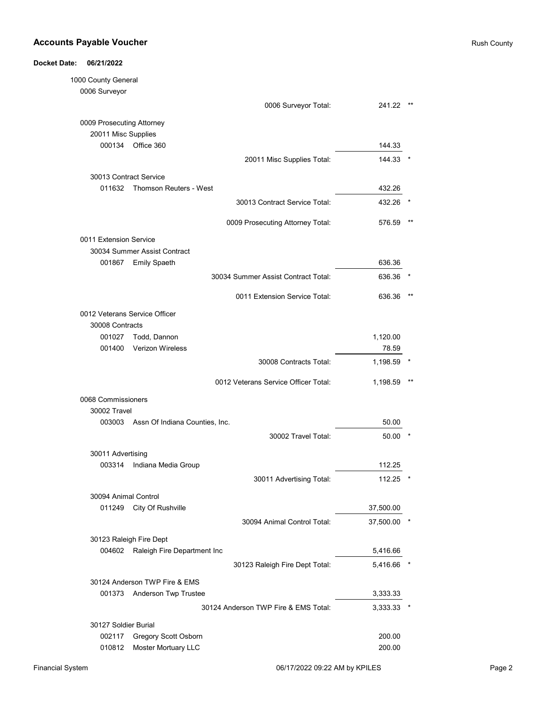| <b>Docket Date:</b> | 06/21/2022                    |                                              |           |    |
|---------------------|-------------------------------|----------------------------------------------|-----------|----|
|                     | 1000 County General           |                                              |           |    |
|                     | 0006 Surveyor                 |                                              |           |    |
|                     |                               | 0006 Surveyor Total:                         | 241.22    |    |
|                     | 0009 Prosecuting Attorney     |                                              |           |    |
|                     | 20011 Misc Supplies           |                                              |           |    |
|                     | 000134                        | Office 360                                   | 144.33    |    |
|                     |                               | 20011 Misc Supplies Total:                   | 144.33    |    |
|                     | 30013 Contract Service        |                                              |           |    |
|                     | 011632                        | <b>Thomson Reuters - West</b>                | 432.26    |    |
|                     |                               | 30013 Contract Service Total:                | 432.26    |    |
|                     |                               | 0009 Prosecuting Attorney Total:             | 576.59    | ** |
|                     |                               |                                              |           |    |
|                     | 0011 Extension Service        |                                              |           |    |
|                     | 001867                        | 30034 Summer Assist Contract<br>Emily Spaeth | 636.36    |    |
|                     |                               | 30034 Summer Assist Contract Total:          | 636.36    |    |
|                     |                               |                                              |           |    |
|                     |                               | 0011 Extension Service Total:                | 636.36    |    |
|                     | 0012 Veterans Service Officer |                                              |           |    |
|                     | 30008 Contracts               |                                              |           |    |
|                     | 001027                        | Todd, Dannon                                 | 1,120.00  |    |
|                     | 001400                        | <b>Verizon Wireless</b>                      | 78.59     |    |
|                     |                               | 30008 Contracts Total:                       | 1,198.59  |    |
|                     |                               | 0012 Veterans Service Officer Total:         | 1,198.59  |    |
|                     | 0068 Commissioners            |                                              |           |    |
|                     | 30002 Travel                  |                                              |           |    |
|                     |                               | 003003 Assn Of Indiana Counties, Inc.        | 50.00     |    |
|                     |                               | 30002 Travel Total:                          | 50.00     |    |
|                     | 30011 Advertising             |                                              |           |    |
|                     | 003314                        | Indiana Media Group                          | 112.25    |    |
|                     |                               | 30011 Advertising Total:                     | 112.25    |    |
|                     | 30094 Animal Control          |                                              |           |    |
|                     | 011249                        | City Of Rushville                            | 37,500.00 |    |
|                     |                               | 30094 Animal Control Total:                  | 37,500.00 |    |
|                     | 30123 Raleigh Fire Dept       |                                              |           |    |
|                     |                               | 004602 Raleigh Fire Department Inc           | 5,416.66  |    |
|                     |                               | 30123 Raleigh Fire Dept Total:               | 5,416.66  |    |
|                     |                               | 30124 Anderson TWP Fire & EMS                |           |    |
|                     | 001373                        | Anderson Twp Trustee                         | 3,333.33  |    |
|                     |                               | 30124 Anderson TWP Fire & EMS Total:         |           |    |
|                     |                               |                                              | 3,333.33  |    |
|                     | 30127 Soldier Burial          |                                              |           |    |
|                     | 002117                        | Gregory Scott Osborn                         | 200.00    |    |
|                     | 010812                        | Moster Mortuary LLC                          | 200.00    |    |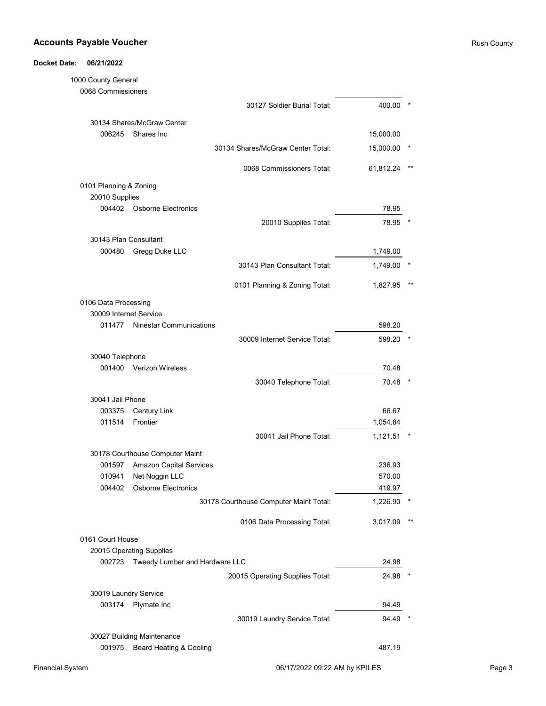# Docket Date: 06/21/2022 1000 County General

| 0068 Commissioners     |                                       |                                        |           |
|------------------------|---------------------------------------|----------------------------------------|-----------|
|                        |                                       | 30127 Soldier Burial Total:            | 400.00    |
|                        | 30134 Shares/McGraw Center            |                                        |           |
| 006245                 | Shares Inc                            |                                        | 15,000.00 |
|                        |                                       | 30134 Shares/McGraw Center Total:      | 15,000.00 |
|                        |                                       | 0068 Commissioners Total:              | 61,812.24 |
| 0101 Planning & Zoning |                                       |                                        |           |
| 20010 Supplies         |                                       |                                        |           |
|                        | 004402 Osborne Electronics            |                                        | 78.95     |
|                        |                                       | 20010 Supplies Total:                  | 78.95     |
| 30143 Plan Consultant  |                                       |                                        |           |
| 000480                 | Gregg Duke LLC                        |                                        | 1,749.00  |
|                        |                                       | 30143 Plan Consultant Total:           | 1,749.00  |
|                        |                                       | 0101 Planning & Zoning Total:          | 1,827.95  |
| 0106 Data Processing   |                                       |                                        |           |
| 30009 Internet Service |                                       |                                        |           |
| 011477                 | <b>Ninestar Communications</b>        |                                        | 598.20    |
|                        |                                       | 30009 Internet Service Total:          | 598.20    |
| 30040 Telephone        |                                       |                                        |           |
| 001400                 | <b>Verizon Wireless</b>               |                                        | 70.48     |
|                        |                                       | 30040 Telephone Total:                 | 70.48     |
| 30041 Jail Phone       |                                       |                                        |           |
| 003375                 | <b>Century Link</b>                   |                                        | 66.67     |
| 011514                 | Frontier                              |                                        | 1,054.84  |
|                        |                                       | 30041 Jail Phone Total:                | 1,121.51  |
|                        | 30178 Courthouse Computer Maint       |                                        |           |
| 001597                 | <b>Amazon Capital Services</b>        |                                        | 236.93    |
| 010941                 | Net Noggin LLC                        |                                        | 570.00    |
|                        | 004402 Osborne Electronics            |                                        | 419.97    |
|                        |                                       | 30178 Courthouse Computer Maint Total: | 1,226.90  |
|                        |                                       | 0106 Data Processing Total:            | 3,017.09  |
| 0161 Court House       |                                       |                                        |           |
|                        | 20015 Operating Supplies              |                                        |           |
|                        | 002723 Tweedy Lumber and Hardware LLC |                                        | 24.98     |
|                        |                                       | 20015 Operating Supplies Total:        | 24.98     |
| 30019 Laundry Service  |                                       |                                        |           |
|                        | 003174 Plymate Inc                    |                                        | 94.49     |
|                        |                                       | 30019 Laundry Service Total:           | 94.49     |
|                        | 30027 Building Maintenance            |                                        |           |
| 001975                 | Beard Heating & Cooling               |                                        | 487.19    |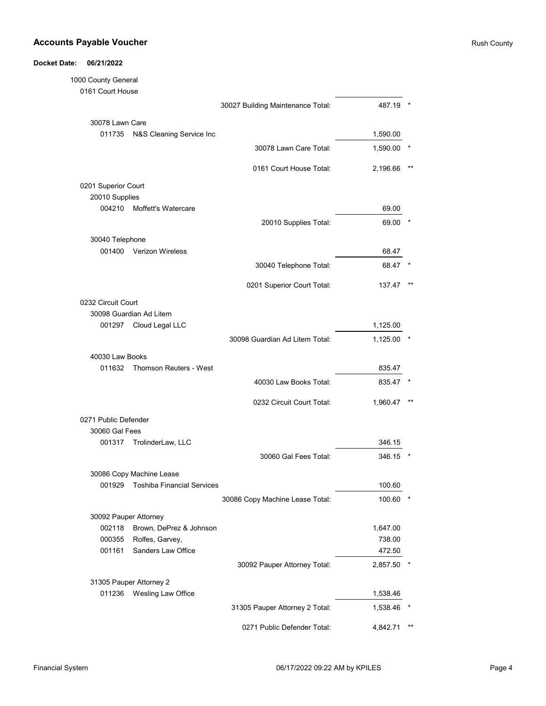| 1000 County General   |                                   |                                   |          |       |
|-----------------------|-----------------------------------|-----------------------------------|----------|-------|
| 0161 Court House      |                                   |                                   |          |       |
|                       |                                   | 30027 Building Maintenance Total: | 487.19   |       |
| 30078 Lawn Care       |                                   |                                   |          |       |
| 011735                | N&S Cleaning Service Inc          |                                   | 1,590.00 |       |
|                       |                                   | 30078 Lawn Care Total:            | 1,590.00 |       |
|                       |                                   | 0161 Court House Total:           | 2,196.66 |       |
| 0201 Superior Court   |                                   |                                   |          |       |
| 20010 Supplies        |                                   |                                   |          |       |
| 004210                | Moffett's Watercare               |                                   | 69.00    |       |
|                       |                                   | 20010 Supplies Total:             | 69.00    |       |
| 30040 Telephone       |                                   |                                   |          |       |
| 001400                | Verizon Wireless                  |                                   | 68.47    |       |
|                       |                                   | 30040 Telephone Total:            | 68.47    |       |
|                       |                                   | 0201 Superior Court Total:        | 137.47   |       |
| 0232 Circuit Court    |                                   |                                   |          |       |
|                       | 30098 Guardian Ad Litem           |                                   |          |       |
| 001297                | Cloud Legal LLC                   |                                   | 1,125.00 |       |
|                       |                                   | 30098 Guardian Ad Litem Total:    | 1,125.00 |       |
| 40030 Law Books       |                                   |                                   |          |       |
| 011632                | Thomson Reuters - West            |                                   | 835.47   |       |
|                       |                                   | 40030 Law Books Total:            | 835.47   |       |
|                       |                                   | 0232 Circuit Court Total:         | 1,960.47 |       |
| 0271 Public Defender  |                                   |                                   |          |       |
| 30060 Gal Fees        |                                   |                                   |          |       |
| 001317                | TrolinderLaw, LLC                 |                                   | 346.15   |       |
|                       |                                   | 30060 Gal Fees Total:             | 346.15   |       |
|                       | 30086 Copy Machine Lease          |                                   |          |       |
| 001929                | <b>Toshiba Financial Services</b> |                                   | 100.60   |       |
|                       |                                   | 30086 Copy Machine Lease Total:   | 100.60   |       |
| 30092 Pauper Attorney |                                   |                                   |          |       |
| 002118                | Brown, DePrez & Johnson           |                                   | 1,647.00 |       |
| 000355                | Rolfes, Garvey,                   |                                   | 738.00   |       |
| 001161                | Sanders Law Office                |                                   | 472.50   |       |
|                       |                                   | 30092 Pauper Attorney Total:      | 2,857.50 |       |
|                       | 31305 Pauper Attorney 2           |                                   |          |       |
| 011236                | Wesling Law Office                |                                   | 1,538.46 |       |
|                       |                                   | 31305 Pauper Attorney 2 Total:    | 1,538.46 |       |
|                       |                                   | 0271 Public Defender Total:       | 4,842.71 | $***$ |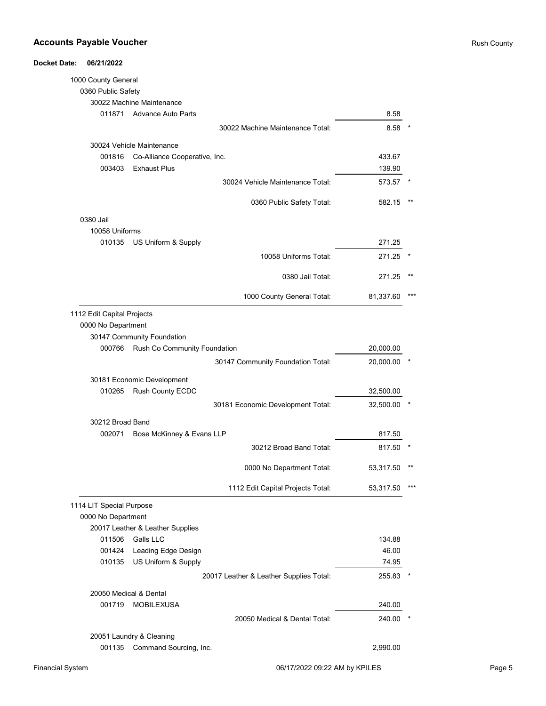| <b>Docket Date:</b> | 06/21/2022                 |                                  |                                         |           |       |
|---------------------|----------------------------|----------------------------------|-----------------------------------------|-----------|-------|
|                     | 1000 County General        |                                  |                                         |           |       |
|                     | 0360 Public Safety         |                                  |                                         |           |       |
|                     |                            | 30022 Machine Maintenance        |                                         |           |       |
|                     | 011871                     | <b>Advance Auto Parts</b>        |                                         | 8.58      |       |
|                     |                            |                                  | 30022 Machine Maintenance Total:        | 8.58      |       |
|                     |                            | 30024 Vehicle Maintenance        |                                         |           |       |
|                     | 001816                     | Co-Alliance Cooperative, Inc.    |                                         | 433.67    |       |
|                     | 003403                     | <b>Exhaust Plus</b>              |                                         | 139.90    |       |
|                     |                            |                                  | 30024 Vehicle Maintenance Total:        | 573.57    |       |
|                     |                            |                                  | 0360 Public Safety Total:               | 582.15    |       |
|                     | 0380 Jail                  |                                  |                                         |           |       |
|                     | 10058 Uniforms             |                                  |                                         |           |       |
|                     | 010135                     | US Uniform & Supply              |                                         | 271.25    |       |
|                     |                            |                                  | 10058 Uniforms Total:                   | 271.25    |       |
|                     |                            |                                  | 0380 Jail Total:                        | 271.25    | $***$ |
|                     |                            |                                  | 1000 County General Total:              | 81,337.60 |       |
|                     | 1112 Edit Capital Projects |                                  |                                         |           |       |
|                     | 0000 No Department         |                                  |                                         |           |       |
|                     |                            | 30147 Community Foundation       |                                         |           |       |
|                     | 000766                     | Rush Co Community Foundation     |                                         | 20,000.00 |       |
|                     |                            |                                  | 30147 Community Foundation Total:       | 20,000.00 |       |
|                     |                            | 30181 Economic Development       |                                         |           |       |
|                     | 010265                     | Rush County ECDC                 |                                         | 32,500.00 |       |
|                     |                            |                                  | 30181 Economic Development Total:       | 32,500.00 |       |
|                     | 30212 Broad Band           |                                  |                                         |           |       |
|                     | 002071                     | Bose McKinney & Evans LLP        |                                         | 817.50    |       |
|                     |                            |                                  | 30212 Broad Band Total:                 | 817.50    |       |
|                     |                            |                                  | 0000 No Department Total:               | 53,317.50 |       |
|                     |                            |                                  | 1112 Edit Capital Projects Total:       | 53,317.50 | ***   |
|                     | 1114 LIT Special Purpose   |                                  |                                         |           |       |
|                     | 0000 No Department         |                                  |                                         |           |       |
|                     |                            | 20017 Leather & Leather Supplies |                                         |           |       |
|                     | 011506                     | Galls LLC                        |                                         | 134.88    |       |
|                     | 001424                     | Leading Edge Design              |                                         | 46.00     |       |
|                     | 010135                     | US Uniform & Supply              |                                         | 74.95     |       |
|                     |                            |                                  | 20017 Leather & Leather Supplies Total: | 255.83    |       |
|                     | 20050 Medical & Dental     |                                  |                                         |           |       |
|                     | 001719                     | <b>MOBILEXUSA</b>                |                                         | 240.00    |       |
|                     |                            |                                  | 20050 Medical & Dental Total:           | 240.00    |       |
|                     |                            | 20051 Laundry & Cleaning         |                                         |           |       |
|                     | 001135                     | Command Sourcing, Inc.           |                                         | 2,990.00  |       |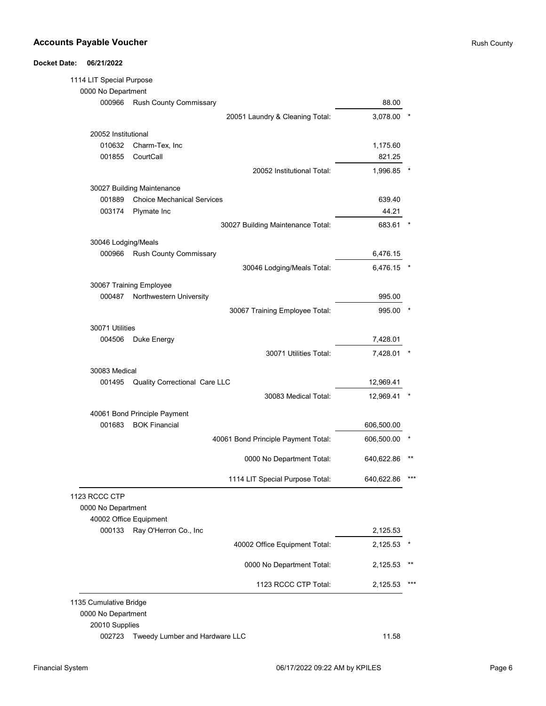| 1114 LIT Special Purpose |                                   |                                     |            |       |
|--------------------------|-----------------------------------|-------------------------------------|------------|-------|
| 0000 No Department       |                                   |                                     |            |       |
| 000966                   | Rush County Commissary            |                                     | 88.00      |       |
|                          |                                   | 20051 Laundry & Cleaning Total:     | 3,078.00   |       |
| 20052 Institutional      |                                   |                                     |            |       |
| 010632                   | Charm-Tex, Inc.                   |                                     | 1,175.60   |       |
| 001855                   | CourtCall                         |                                     | 821.25     |       |
|                          |                                   | 20052 Institutional Total:          | 1,996.85   |       |
|                          | 30027 Building Maintenance        |                                     |            |       |
| 001889                   | <b>Choice Mechanical Services</b> |                                     | 639.40     |       |
| 003174                   | Plymate Inc                       |                                     | 44.21      |       |
|                          |                                   |                                     |            |       |
|                          |                                   | 30027 Building Maintenance Total:   | 683.61     |       |
| 30046 Lodging/Meals      |                                   |                                     |            |       |
| 000966                   | Rush County Commissary            |                                     | 6,476.15   |       |
|                          |                                   | 30046 Lodging/Meals Total:          | 6,476.15   |       |
|                          | 30067 Training Employee           |                                     |            |       |
| 000487                   | Northwestern University           |                                     | 995.00     |       |
|                          |                                   | 30067 Training Employee Total:      | 995.00     |       |
| 30071 Utilities          |                                   |                                     |            |       |
| 004506                   | Duke Energy                       |                                     | 7,428.01   |       |
|                          |                                   | 30071 Utilities Total:              | 7,428.01   |       |
| 30083 Medical            |                                   |                                     |            |       |
| 001495                   | Quality Correctional Care LLC     |                                     | 12,969.41  |       |
|                          |                                   | 30083 Medical Total:                | 12,969.41  |       |
|                          |                                   |                                     |            |       |
|                          | 40061 Bond Principle Payment      |                                     |            |       |
| 001683                   | <b>BOK Financial</b>              |                                     | 606,500.00 |       |
|                          |                                   | 40061 Bond Principle Payment Total: | 606,500.00 |       |
|                          |                                   | 0000 No Department Total:           | 640,622.86 |       |
|                          |                                   | 1114 LIT Special Purpose Total:     | 640,622.86 |       |
| 1123 RCCC CTP            |                                   |                                     |            |       |
| 0000 No Department       |                                   |                                     |            |       |
|                          | 40002 Office Equipment            |                                     |            |       |
| 000133                   | Ray O'Herron Co., Inc             |                                     | 2,125.53   |       |
|                          |                                   | 40002 Office Equipment Total:       | 2,125.53   |       |
|                          |                                   |                                     |            |       |
|                          |                                   | 0000 No Department Total:           | 2,125.53   | $***$ |
|                          |                                   | 1123 RCCC CTP Total:                | 2,125.53   |       |
| 1135 Cumulative Bridge   |                                   |                                     |            |       |
| 0000 No Department       |                                   |                                     |            |       |
| 20010 Supplies           |                                   |                                     |            |       |
| 002723                   | Tweedy Lumber and Hardware LLC    |                                     | 11.58      |       |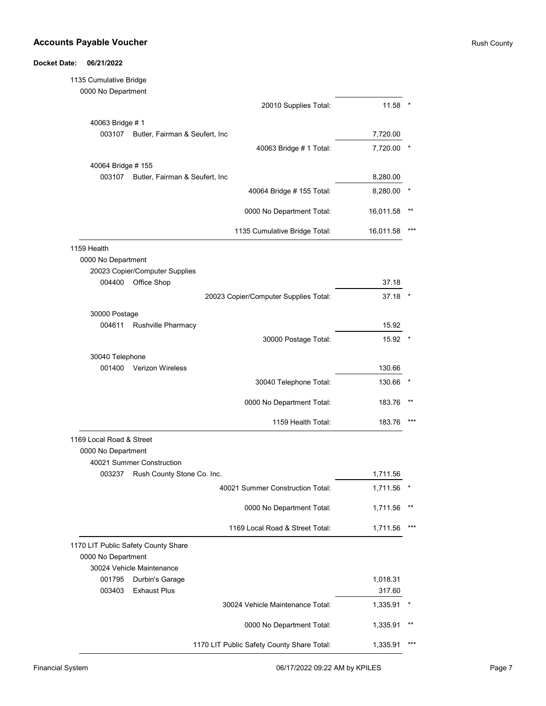#### Accounts Payable Voucher **Rush County** Rush County

Docket Date: 06/21/2022

# 1135 Cumulative Bridge 0000 No Department 20010 Supplies Total: 11.58 \* 40063 Bridge # 1 003107 7,720.00 Butler, Fairman & Seufert, Inc 40063 Bridge # 1 Total: 7,720.00 \* 40064 Bridge # 155 003107 Butler, Fairman & Seufert, Inc 6000 and 100 and 100 and 100 and 100 and 100 and 100 and 100 and 100 and 100 and 100 and 100 and 100 and 100 and 100 and 100 and 100 and 100 and 100 and 100 and 100 and 100 and 100 and 40064 Bridge # 155 Total: 8,280.00 \* 0000 No Department Total: 16,011.58 \*\* 1135 Cumulative Bridge Total: 16,011.58 \*\*\* 1159 Health 0000 No Department 20023 Copier/Computer Supplies 004400 Office Shop 37.18 20023 Copier/Computer Supplies Total: 37.18 \* 30000 Postage 004611 Rushville Pharmacy **15.92** 30000 Postage Total: 15.92 \* 30040 Telephone 001400 Verizon Wireless 2001400 130.66 30040 Telephone Total: 130.66 \* 0000 No Department Total: 183.76 \*\* 1159 Health Total: 183.76 \*\*\* 1169 Local Road & Street 0000 No Department 40021 Summer Construction 003237 Rush County Stone Co. Inc. No. 1,711.56 Rush 2003237 Rush County Stone Co. Inc. 40021 Summer Construction Total: 1,711.56 \* 0000 No Department Total: 1,711.56 \*\* 1169 Local Road & Street Total: 1,711.56 \*\*\* 1170 LIT Public Safety County Share 0000 No Department 30024 Vehicle Maintenance 001795 Durbin's Garage 2012 1,018.31 2012 1,018.31 003403 Exhaust Plus 317.60 30024 Vehicle Maintenance Total: 1,335.91 \* 0000 No Department Total: 1,335.91 \*\* 1170 LIT Public Safety County Share Total: 1,335.91 \*\*\*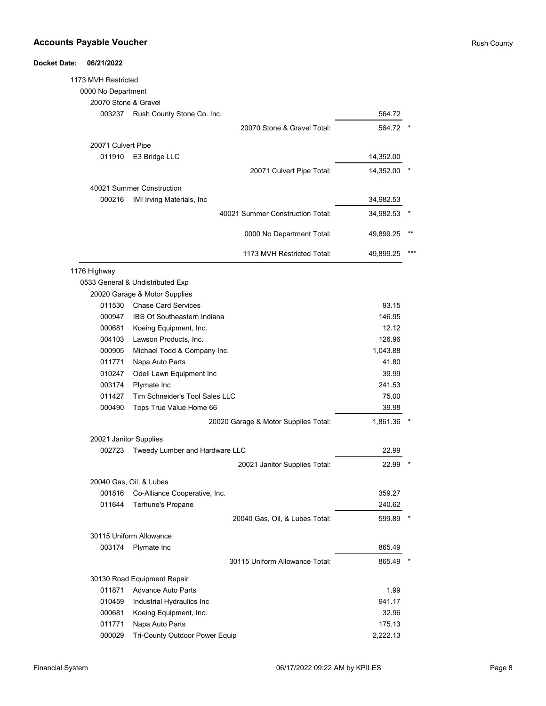#### **Accounts Payable Voucher Rush County Accounts Payable Voucher Rush County** Rush County

Docket Date: 06/21/2022

# 1173 MVH Restricted 0000 No Department 20070 Stone & Gravel 003237 564.72 Rush County Stone Co. Inc. 20070 Stone & Gravel Total: 564.72 \* 20071 Culvert Pipe 011910 E3 Bridge LLC 2002 14,352.00 20071 Culvert Pipe Total: 14,352.00 \* 40021 Summer Construction 000216 34,982.53 IMI Irving Materials, Inc 40021 Summer Construction Total: 34,982.53 \* 0000 No Department Total: 49,899.25 \*\* 1173 MVH Restricted Total: 49,899.25 \*\*\* 1176 Highway 0533 General & Undistributed Exp 20020 Garage & Motor Supplies 011530 Chase Card Services **Card Services Card Services Card Services Card Services Card Services Card Services Card Services Card Services Card Services Card Services Card Services Card Services Ca** 000947 IBS Of Southeastern Indiana 2000947 146.95 000681 Koeing Equipment, Inc. **12.12** Section 12.12 Koeing Equipment, Inc. 004103 126.96 Lawson Products, Inc. 000905 1,043.88 Michael Todd & Company Inc. 011771 Napa Auto Parts 2008 12:00 12:00 12:00 12:00 12:00 12:00 12:00 12:00 12:00 12:00 12:00 12:00 12:00 12:0 010247 39.99 Odell Lawn Equipment Inc 003174 Plymate Inc 241.53 011427 75.00 Tim Schneider's Tool Sales LLC 000490 39.98 Tops True Value Home 66 20020 Garage & Motor Supplies Total: 1,861.36 20021 Janitor Supplies 002723 22.99 Tweedy Lumber and Hardware LLC 20021 Janitor Supplies Total: 22.99 \* 20040 Gas, Oil, & Lubes 001816 Co-Alliance Cooperative, Inc. **Communist Construction Construction** 359.27 011644 Terhune's Propane **Canadian Contract Contract Canadian Canadian Canadian Canadian Canadian Canadian Canadian Canadian Canadian Canadian Canadian Canadian Canadian Canadian Canadian Canadian Canadian Canadian Canadia** 20040 Gas, Oil, & Lubes Total: 599.89 \* 30115 Uniform Allowance 003174 Plymate Inc **Department Controller Section** 2003174 Plymate Inc 30115 Uniform Allowance Total: 865.49 \* 30130 Road Equipment Repair 011871 Advance Auto Parts 30 and 2011 1.99 010459 Industrial Hydraulics Inc **Internal Accord 1010** 941.17 000681 Koeing Equipment, Inc. **According to the COVID-2018** 32.96 011771 Napa Auto Parts **Napa Auto Parts 175.13** Napa 2012 175.13 000029 Tri-County Outdoor Power Equip 2,222.13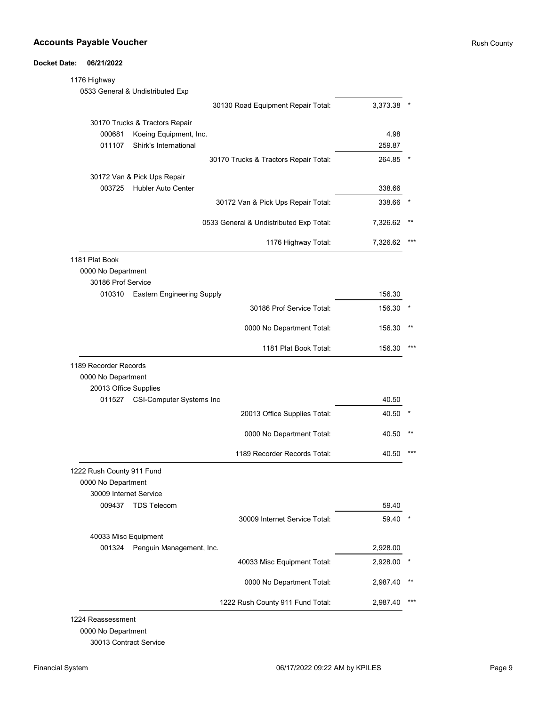### Docket Date: 06/21/2022

| 1176 Highway              |                                   |                                         |          |       |
|---------------------------|-----------------------------------|-----------------------------------------|----------|-------|
|                           | 0533 General & Undistributed Exp  |                                         |          |       |
|                           |                                   | 30130 Road Equipment Repair Total:      | 3,373.38 |       |
|                           | 30170 Trucks & Tractors Repair    |                                         |          |       |
| 000681                    | Koeing Equipment, Inc.            |                                         | 4.98     |       |
| 011107                    | Shirk's International             |                                         | 259.87   |       |
|                           |                                   | 30170 Trucks & Tractors Repair Total:   | 264.85   |       |
|                           | 30172 Van & Pick Ups Repair       |                                         |          |       |
|                           | 003725 Hubler Auto Center         |                                         | 338.66   |       |
|                           |                                   | 30172 Van & Pick Ups Repair Total:      | 338.66   |       |
|                           |                                   | 0533 General & Undistributed Exp Total: | 7,326.62 |       |
|                           |                                   | 1176 Highway Total:                     | 7,326.62 |       |
| 1181 Plat Book            |                                   |                                         |          |       |
| 0000 No Department        |                                   |                                         |          |       |
| 30186 Prof Service        |                                   |                                         |          |       |
|                           | 010310 Eastern Engineering Supply |                                         | 156.30   |       |
|                           |                                   | 30186 Prof Service Total:               | 156.30   |       |
|                           |                                   | 0000 No Department Total:               | 156.30   |       |
|                           |                                   | 1181 Plat Book Total:                   | 156.30   |       |
| 1189 Recorder Records     |                                   |                                         |          |       |
| 0000 No Department        |                                   |                                         |          |       |
| 20013 Office Supplies     |                                   |                                         |          |       |
| 011527                    | <b>CSI-Computer Systems Inc</b>   |                                         | 40.50    |       |
|                           |                                   | 20013 Office Supplies Total:            | 40.50    |       |
|                           |                                   | 0000 No Department Total:               | 40.50    |       |
|                           |                                   | 1189 Recorder Records Total:            | 40.50    |       |
| 1222 Rush County 911 Fund |                                   |                                         |          |       |
| 0000 No Department        |                                   |                                         |          |       |
| 30009 Internet Service    |                                   |                                         |          |       |
| 009437                    | <b>TDS Telecom</b>                |                                         | 59.40    |       |
|                           |                                   | 30009 Internet Service Total:           | 59.40    |       |
|                           | 40033 Misc Equipment              |                                         |          |       |
| 001324                    | Penguin Management, Inc.          |                                         | 2,928.00 |       |
|                           |                                   | 40033 Misc Equipment Total:             | 2,928.00 |       |
|                           |                                   |                                         |          |       |
|                           |                                   | 0000 No Department Total:               | 2,987.40 | $***$ |

0000 No Department

30013 Contract Service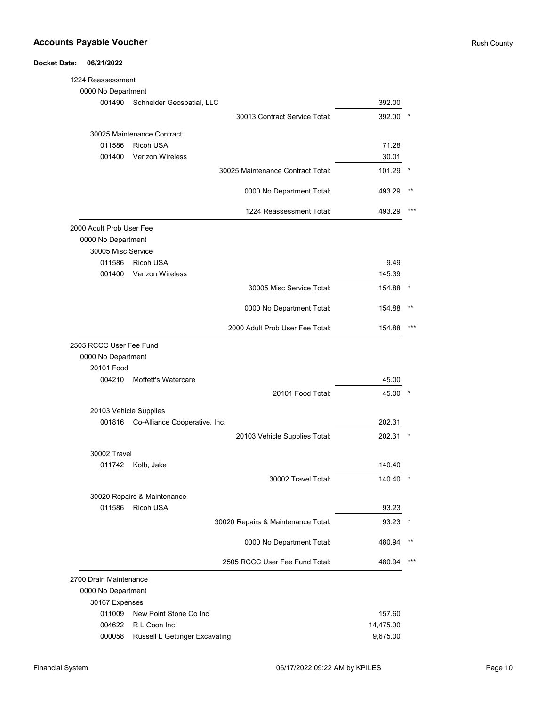| 1224 Reassessment        |                                    |           |       |
|--------------------------|------------------------------------|-----------|-------|
| 0000 No Department       |                                    |           |       |
| 001490                   | Schneider Geospatial, LLC          | 392.00    |       |
|                          | 30013 Contract Service Total:      | 392.00    |       |
|                          | 30025 Maintenance Contract         |           |       |
| 011586                   | <b>Ricoh USA</b>                   | 71.28     |       |
| 001400                   | <b>Verizon Wireless</b>            | 30.01     |       |
|                          | 30025 Maintenance Contract Total:  | 101.29    |       |
|                          | 0000 No Department Total:          | 493.29    |       |
|                          | 1224 Reassessment Total:           | 493.29    |       |
| 2000 Adult Prob User Fee |                                    |           |       |
| 0000 No Department       |                                    |           |       |
| 30005 Misc Service       |                                    |           |       |
| 011586                   | <b>Ricoh USA</b>                   | 9.49      |       |
| 001400                   | <b>Verizon Wireless</b>            | 145.39    |       |
|                          | 30005 Misc Service Total:          | 154.88    |       |
|                          | 0000 No Department Total:          | 154.88    |       |
|                          | 2000 Adult Prob User Fee Total:    | 154.88    |       |
| 2505 RCCC User Fee Fund  |                                    |           |       |
| 0000 No Department       |                                    |           |       |
| 20101 Food               |                                    |           |       |
| 004210                   | Moffett's Watercare                | 45.00     |       |
|                          | 20101 Food Total:                  | 45.00     |       |
| 20103 Vehicle Supplies   |                                    |           |       |
| 001816                   | Co-Alliance Cooperative, Inc.      | 202.31    |       |
|                          | 20103 Vehicle Supplies Total:      | 202.31    |       |
| 30002 Travel             |                                    |           |       |
| 011742                   | Kolb, Jake                         | 140.40    |       |
|                          | 30002 Travel Total:                | 140.40    | *     |
|                          | 30020 Repairs & Maintenance        |           |       |
| 011586                   | Ricoh USA                          | 93.23     |       |
|                          | 30020 Repairs & Maintenance Total: | 93.23     |       |
|                          | 0000 No Department Total:          | 480.94    | $***$ |
|                          | 2505 RCCC User Fee Fund Total:     | 480.94    | ***   |
| 2700 Drain Maintenance   |                                    |           |       |
| 0000 No Department       |                                    |           |       |
| 30167 Expenses           |                                    |           |       |
| 011009                   | New Point Stone Co Inc             | 157.60    |       |
| 004622                   | R L Coon Inc                       | 14,475.00 |       |
| 000058                   | Russell L Gettinger Excavating     | 9,675.00  |       |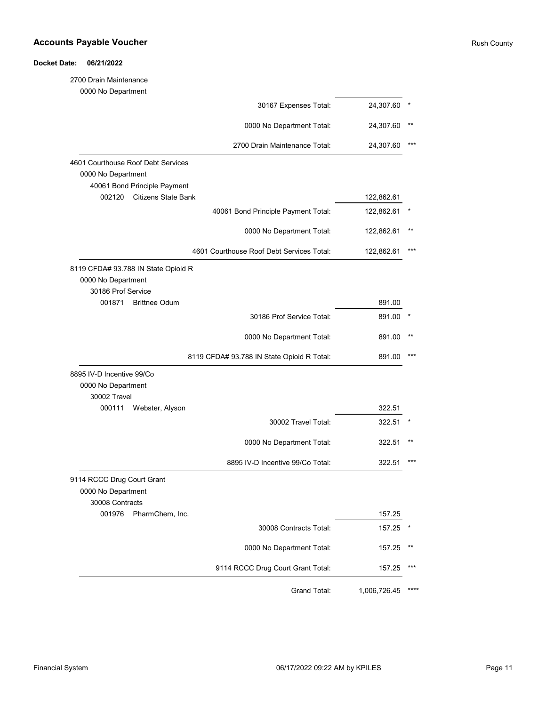| 2700 Drain Maintenance               |                                            |              |      |
|--------------------------------------|--------------------------------------------|--------------|------|
| 0000 No Department                   |                                            |              |      |
|                                      | 30167 Expenses Total:                      | 24,307.60    |      |
|                                      | 0000 No Department Total:                  | 24,307.60    |      |
|                                      | 2700 Drain Maintenance Total:              | 24,307.60    |      |
| 4601 Courthouse Roof Debt Services   |                                            |              |      |
| 0000 No Department                   |                                            |              |      |
| 40061 Bond Principle Payment         |                                            |              |      |
| <b>Citizens State Bank</b><br>002120 |                                            | 122,862.61   |      |
|                                      | 40061 Bond Principle Payment Total:        | 122,862.61   |      |
|                                      | 0000 No Department Total:                  | 122,862.61   |      |
|                                      | 4601 Courthouse Roof Debt Services Total:  | 122,862.61   |      |
| 8119 CFDA# 93.788 IN State Opioid R  |                                            |              |      |
| 0000 No Department                   |                                            |              |      |
| 30186 Prof Service                   |                                            |              |      |
| <b>Brittnee Odum</b><br>001871       |                                            | 891.00       |      |
|                                      | 30186 Prof Service Total:                  | 891.00       |      |
|                                      | 0000 No Department Total:                  | 891.00       |      |
|                                      | 8119 CFDA# 93.788 IN State Opioid R Total: | 891.00       |      |
| 8895 IV-D Incentive 99/Co            |                                            |              |      |
| 0000 No Department                   |                                            |              |      |
| 30002 Travel                         |                                            |              |      |
| 000111<br>Webster, Alyson            |                                            | 322.51       |      |
|                                      | 30002 Travel Total:                        | 322.51       |      |
|                                      | 0000 No Department Total:                  | 322.51       |      |
|                                      | 8895 IV-D Incentive 99/Co Total:           | 322.51       |      |
| 9114 RCCC Drug Court Grant           |                                            |              |      |
| 0000 No Department                   |                                            |              |      |
| 30008 Contracts                      |                                            |              |      |
| 001976<br>PharmChem, Inc.            |                                            | 157.25       |      |
|                                      | 30008 Contracts Total:                     | 157.25       |      |
|                                      | 0000 No Department Total:                  | 157.25       |      |
|                                      | 9114 RCCC Drug Court Grant Total:          | 157.25       |      |
|                                      |                                            |              | **** |
|                                      | Grand Total:                               | 1,006,726.45 |      |